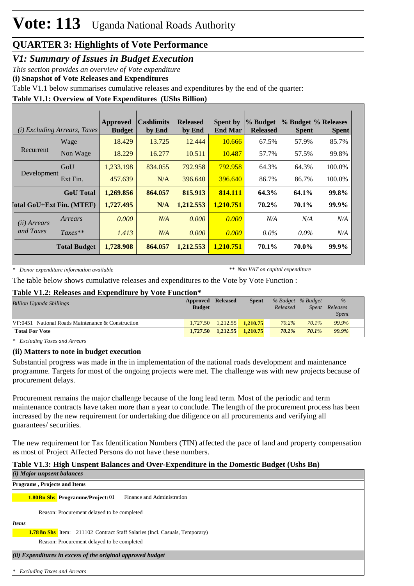*V1: Summary of Issues in Budget Execution*

*This section provides an overview of Vote expenditure* 

**(i) Snapshot of Vote Releases and Expenditures**

Table V1.1 below summarises cumulative releases and expenditures by the end of the quarter:

#### **Table V1.1: Overview of Vote Expenditures (UShs Billion)**

|                       | ( <i>i</i> ) Excluding Arrears, Taxes | Approved<br><b>Budget</b> | <b>Cashlimits</b><br>by End | <b>Released</b><br>by End | <b>Spent by</b><br><b>End Mar</b> | % Budget<br><b>Released</b> | % Budget % Releases<br><b>Spent</b> | <b>Spent</b> |
|-----------------------|---------------------------------------|---------------------------|-----------------------------|---------------------------|-----------------------------------|-----------------------------|-------------------------------------|--------------|
|                       | Wage                                  | 18.429                    | 13.725                      | 12.444                    | 10.666                            | 67.5%                       | 57.9%                               | 85.7%        |
| Recurrent             | Non Wage                              | 18.229                    | 16.277                      | 10.511                    | 10.487                            | 57.7%                       | 57.5%                               | 99.8%        |
|                       | GoU                                   | 1.233.198                 | 834.055                     | 792.958                   | 792.958                           | 64.3%                       | 64.3%                               | 100.0%       |
| Development           | Ext Fin.                              | 457.639                   | N/A                         | 396.640                   | 396.640                           | 86.7%                       | 86.7%                               | 100.0%       |
|                       | <b>GoU</b> Total                      | 1,269.856                 | 864.057                     | 815.913                   | 814.111                           | 64.3%                       | 64.1%                               | 99.8%        |
|                       | <b>Total GoU+Ext Fin. (MTEF)</b>      | 1,727.495                 | N/A                         | 1,212.553                 | 1.210.751                         | 70.2%                       | 70.1%                               | 99.9%        |
| ( <i>ii</i> ) Arrears | Arrears                               | 0.000                     | N/A                         | 0.000                     | 0.000                             | N/A                         | N/A                                 | N/A          |
| and Taxes             | $Taxes**$                             | 1.413                     | N/A                         | 0.000                     | 0.000                             | $0.0\%$                     | $0.0\%$                             | N/A          |
|                       | <b>Total Budget</b>                   | 1,728.908                 | 864.057                     | 1,212.553                 | 1.210.751                         | 70.1%                       | 70.0%                               | 99.9%        |

*\* Donor expenditure information available*

*\*\* Non VAT on capital expenditure*

The table below shows cumulative releases and expenditures to the Vote by Vote Function :

#### **Table V1.2: Releases and Expenditure by Vote Function\***

| <b>Billion Uganda Shillings</b>                     | <b>Approved Released</b><br><b>Budget</b> |          | <b>Spent</b> | Released | % Budget % Budget<br>Spent | $\%$<br>Releases |
|-----------------------------------------------------|-------------------------------------------|----------|--------------|----------|----------------------------|------------------|
|                                                     |                                           |          |              |          |                            | <i>Spent</i>     |
| $VF:0451$ National Roads Maintenance & Construction | 1,727.50                                  | 1,212.55 | 1.210.75     | 70.2%    | 70.1%                      | 99.9%            |
| <b>Total For Vote</b>                               | 1,727.50                                  | 1.212.55 | 1.210.75     | 70.2%    | 70.1%                      | 99.9%            |

*\* Excluding Taxes and Arrears*

#### **(ii) Matters to note in budget execution**

Substantial progress was made in the in implementation of the national roads development and maintenance programme. Targets for most of the ongoing projects were met. The challenge was with new projects because of procurement delays.

Procurement remains the major challenge because of the long lead term. Most of the periodic and term maintenance contracts have taken more than a year to conclude. The length of the procurement process has been increased by the new requirement for undertaking due diligence on all procurements and verifying all guarantees/ securities.

The new requirement for Tax Identification Numbers (TIN) affected the pace of land and property compensation as most of Project Affected Persons do not have these numbers.

#### **Table V1.3: High Unspent Balances and Over-Expenditure in the Domestic Budget (Ushs Bn)**

| $(i)$ Major unpsent balances                                                      |
|-----------------------------------------------------------------------------------|
| <b>Programs</b> , Projects and Items                                              |
| Finance and Administration<br><b>1.80Bn Shs</b> Programme/Project: 01             |
| Reason: Procurement delayed to be completed                                       |
| <i>Items</i>                                                                      |
| <b>1.78Bn Shs</b> Item: 211102 Contract Staff Salaries (Incl. Casuals, Temporary) |
| Reason: Procurement delayed to be completed                                       |
| (ii) Expenditures in excess of the original approved budget                       |
|                                                                                   |

*\* Excluding Taxes and Arrears*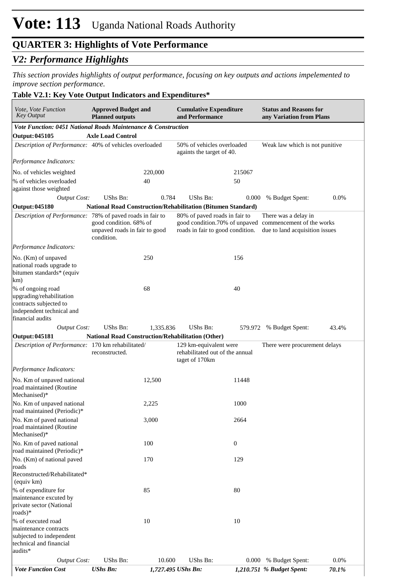## *V2: Performance Highlights*

*This section provides highlights of output performance, focusing on key outputs and actions impelemented to improve section performance.*

#### **Table V2.1: Key Vote Output Indicators and Expenditures\***

| <i>Vote, Vote Function</i><br><b>Key Output</b>                                                                          | <b>Approved Budget and</b><br><b>Planned outputs</b>                  |           | <b>Cumulative Expenditure</b><br>and Performance                            |                  | <b>Status and Reasons for</b><br>any Variation from Plans                                                         |       |
|--------------------------------------------------------------------------------------------------------------------------|-----------------------------------------------------------------------|-----------|-----------------------------------------------------------------------------|------------------|-------------------------------------------------------------------------------------------------------------------|-------|
| Vote Function: 0451 National Roads Maintenance & Construction                                                            |                                                                       |           |                                                                             |                  |                                                                                                                   |       |
| <b>Output: 045105</b>                                                                                                    | <b>Axle Load Control</b>                                              |           |                                                                             |                  |                                                                                                                   |       |
| Description of Performance: 40% of vehicles overloaded                                                                   |                                                                       |           | 50% of vehicles overloaded<br>againts the target of 40.                     |                  | Weak law which is not punitive                                                                                    |       |
| Performance Indicators:                                                                                                  |                                                                       |           |                                                                             |                  |                                                                                                                   |       |
| No. of vehicles weighted                                                                                                 |                                                                       | 220,000   |                                                                             | 215067           |                                                                                                                   |       |
| % of vehicles overloaded<br>against those weighted                                                                       |                                                                       | 40        |                                                                             | 50               |                                                                                                                   |       |
| <b>Output Cost:</b>                                                                                                      | UShs Bn:                                                              | 0.784     | <b>UShs Bn:</b>                                                             | 0.000            | % Budget Spent:                                                                                                   | 0.0%  |
| <b>Output: 045180</b>                                                                                                    |                                                                       |           | National Road Construction/Rehabilitation (Bitumen Standard)                |                  |                                                                                                                   |       |
| Description of Performance: 78% of paved roads in fair to                                                                | good condition. 68% of<br>unpaved roads in fair to good<br>condition. |           | 80% of paved roads in fair to<br>roads in fair to good condition.           |                  | There was a delay in<br>good condition.70% of unpaved commencement of the works<br>due to land acquisition issues |       |
| Performance Indicators:                                                                                                  |                                                                       |           |                                                                             |                  |                                                                                                                   |       |
| No. (Km) of unpaved<br>national roads upgrade to<br>bitumen standards* (equiv<br>km)                                     |                                                                       | 250       |                                                                             | 156              |                                                                                                                   |       |
| % of ongoing road<br>upgrading/rehabilitation<br>contracts subjected to<br>independent technical and<br>financial audits |                                                                       | 68        |                                                                             | 40               |                                                                                                                   |       |
| <b>Output Cost:</b>                                                                                                      | UShs Bn:                                                              | 1,335.836 | UShs Bn:                                                                    |                  | 579.972 % Budget Spent:                                                                                           | 43.4% |
| <b>Output: 045181</b>                                                                                                    | National Road Construction/Rehabilitation (Other)                     |           |                                                                             |                  |                                                                                                                   |       |
| Description of Performance: 170 km rehabilitated/                                                                        | reconstructed.                                                        |           | 129 km-equivalent were<br>rehabilitated out of the annual<br>taget of 170km |                  | There were procurement delays                                                                                     |       |
| Performance Indicators:                                                                                                  |                                                                       |           |                                                                             |                  |                                                                                                                   |       |
| No. Km of unpaved national<br>road maintained (Routine<br>Mechanised)*                                                   |                                                                       | 12,500    |                                                                             | 11448            |                                                                                                                   |       |
| No. Km of unpaved national<br>road maintained (Periodic)*                                                                |                                                                       | 2,225     |                                                                             | 1000             |                                                                                                                   |       |
| No. Km of paved national<br>road maintained (Routine<br>Mechanised)*                                                     |                                                                       | 3,000     |                                                                             | 2664             |                                                                                                                   |       |
| No. Km of paved national<br>road maintained (Periodic)*                                                                  |                                                                       | 100       |                                                                             | $\boldsymbol{0}$ |                                                                                                                   |       |
| No. (Km) of national paved<br>roads<br>Reconstructed/Rehabilitated*<br>(equiv km)                                        |                                                                       | 170       |                                                                             | 129              |                                                                                                                   |       |
| % of expenditure for<br>maintenance excuted by<br>private sector (National<br>roads)*                                    |                                                                       | 85        |                                                                             | 80               |                                                                                                                   |       |
| % of executed road<br>maintenance contracts<br>subjected to independent<br>technical and financial<br>audits*            |                                                                       | 10        |                                                                             | 10               |                                                                                                                   |       |
| <b>Output Cost:</b>                                                                                                      | UShs Bn:                                                              | 10.600    | <b>UShs Bn:</b>                                                             | 0.000            | % Budget Spent:                                                                                                   | 0.0%  |
| <b>Vote Function Cost</b>                                                                                                | <b>UShs Bn:</b>                                                       |           | 1,727.495 UShs Bn:                                                          |                  | 1,210.751 % Budget Spent:                                                                                         | 70.1% |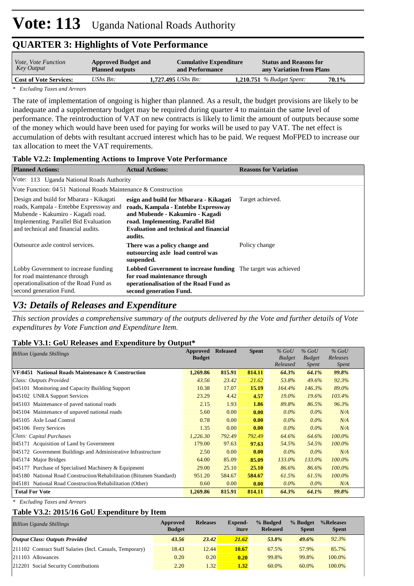| <i>Vote, Vote Function</i>    | <b>Approved Budget and</b> | <b>Cumulative Expenditure</b> | <b>Status and Reasons for</b>    |       |
|-------------------------------|----------------------------|-------------------------------|----------------------------------|-------|
| Key Output                    | <b>Planned outputs</b>     | and Performance               | any Variation from Plans         |       |
| <b>Cost of Vote Services:</b> | UShs $Bn$ :                | 1.727.495 <i>UShs Bn</i> :    | <b>1,210.751</b> % Budget Spent: | 70.1% |

*\* Excluding Taxes and Arrears*

The rate of implementation of ongoing is higher than planned. As a result, the budget provisions are likely to be inadequate and a supplementary budget may be required during quarter 4 to maintain the same level of performance. The reintroduction of VAT on new contracts is likely to limit the amount of outputs because some of the money which would have been used for paying for works will be used to pay VAT. The net effect is accumulation of debts with resultant accrued interest which has to be paid. We request MoFPED to increase our tax allocation to meet the VAT requirements.

## **Table V2.2: Implementing Actions to Improve Vote Performance**

| <b>Planned Actions:</b>                                                                                                                                                                                 | <b>Actual Actions:</b>                                                                                                                                                                                           | <b>Reasons for Variation</b> |  |  |  |  |  |  |  |
|---------------------------------------------------------------------------------------------------------------------------------------------------------------------------------------------------------|------------------------------------------------------------------------------------------------------------------------------------------------------------------------------------------------------------------|------------------------------|--|--|--|--|--|--|--|
|                                                                                                                                                                                                         | Vote: 113 Uganda National Roads Authority                                                                                                                                                                        |                              |  |  |  |  |  |  |  |
| Vote Function: $04.51$ National Roads Maintenance & Construction                                                                                                                                        |                                                                                                                                                                                                                  |                              |  |  |  |  |  |  |  |
| Design and build for Mbarara - Kikagati<br>roads, Kampala - Entebbe Expressway and<br>Mubende - Kakumiro - Kagadi road.<br>Implementing. Parallel Bid Evaluation<br>and technical and financial audits. | esign and build for Mbarara - Kikagati<br>roads, Kampala - Entebbe Expressway<br>and Mubende - Kakumiro - Kagadi<br>road. Implementing. Parallel Bid<br><b>Evaluation and technical and financial</b><br>audits. | Target achieved.             |  |  |  |  |  |  |  |
| Outsource axle control services.                                                                                                                                                                        | There was a policy change and<br>outsourcing axle load control was<br>suspended.                                                                                                                                 | Policy change                |  |  |  |  |  |  |  |
| Lobby Government to increase funding<br>for road maintenance through<br>operationalisation of the Road Fund as<br>second generation Fund.                                                               | <b>Lobbed Government to increase funding</b> The target was achieved<br>for road maintenance through<br>operationalisation of the Road Fund as<br>second generation Fund.                                        |                              |  |  |  |  |  |  |  |

# *V3: Details of Releases and Expenditure*

*This section provides a comprehensive summary of the outputs delivered by the Vote and further details of Vote expenditures by Vote Function and Expenditure Item.*

## **Table V3.1: GoU Releases and Expenditure by Output\***

| <b>Billion Uganda Shillings</b>                                     | Approved<br><b>Budget</b> | <b>Released</b> | <b>Spent</b> | $\%$ GoU<br><b>Budget</b><br>Released | $%$ GoU<br><b>Budget</b><br><i>Spent</i> | $%$ GoU<br>Releases<br><i>Spent</i> |
|---------------------------------------------------------------------|---------------------------|-----------------|--------------|---------------------------------------|------------------------------------------|-------------------------------------|
| VF:0451 National Roads Maintenance & Construction                   | 1,269.86                  | 815.91          | 814.11       | 64.3%                                 | 64.1%                                    | 99.8%                               |
| Class: Outputs Provided                                             | 43.56                     | 23.42           | 21.62        | 53.8%                                 | 49.6%                                    | 92.3%                               |
| 045101 Monitoring and Capacity Building Support                     | 10.38                     | 17.07           | 15.19        | 164.4%                                | 146.3%                                   | 89.0%                               |
| 045102 UNRA Support Services                                        | 23.29                     | 4.42            | 4.57         | $19.0\%$                              | 19.6%                                    | 103.4%                              |
| 045103 Maintenance of paved national roads                          | 2.15                      | 1.93            | 1.86         | 89.8%                                 | 86.5%                                    | 96.3%                               |
| 045104 Maintenance of unpaved national roads                        | 5.60                      | 0.00            | 0.00         | $0.0\%$                               | $0.0\%$                                  | N/A                                 |
| 045105 Axle Load Control                                            | 0.78                      | 0.00            | 0.00         | $0.0\%$                               | $0.0\%$                                  | N/A                                 |
| 045106 Ferry Services                                               | 1.35                      | 0.00            | 0.00         | $0.0\%$                               | $0.0\%$                                  | N/A                                 |
| Class: Capital Purchases                                            | 1,226.30                  | 792.49          | 792.49       | 64.6%                                 | 64.6%                                    | 100.0%                              |
| 045171 Acquisition of Land by Government                            | 179.00                    | 97.63           | 97.63        | 54.5%                                 | 54.5%                                    | $100.0\%$                           |
| 045172 Government Buildings and Administrative Infrastructure       | 2.50                      | 0.00            | 0.00         | $0.0\%$                               | $0.0\%$                                  | N/A                                 |
| 045174 Major Bridges                                                | 64.00                     | 85.09           | 85.09        | 133.0%                                | 133.0%                                   | 100.0%                              |
| 045177 Purchase of Specialised Machinery $&$ Equipment              | 29.00                     | 25.10           | 25.10        | 86.6%                                 | 86.6%                                    | 100.0%                              |
| 045180 National Road Construction/Rehabilitation (Bitumen Standard) | 951.20                    | 584.67          | 584.67       | 61.5%                                 | 61.5%                                    | 100.0%                              |
| 045181 National Road Construction/Rehabilitation (Other)            | 0.60                      | 0.00            | 0.00         | $0.0\%$                               | $0.0\%$                                  | N/A                                 |
| <b>Total For Vote</b>                                               | 1,269.86                  | 815.91          | 814.11       | 64.3%                                 | 64.1%                                    | 99.8%                               |

*\* Excluding Taxes and Arrears*

### **Table V3.2: 2015/16 GoU Expenditure by Item**

| <b>Billion Uganda Shillings</b>                           | Approved<br><b>Budget</b> | <b>Releases</b> | Expend-<br>iture | % Budged<br><b>Released</b> | % Budget<br><b>Spent</b> | %Releases<br><b>Spent</b> |
|-----------------------------------------------------------|---------------------------|-----------------|------------------|-----------------------------|--------------------------|---------------------------|
| <b>Output Class: Outputs Provided</b>                     | 43.56                     | 23.42           | 21.62            | 53.8%                       | 49.6%                    | 92.3%                     |
| 211102 Contract Staff Salaries (Incl. Casuals, Temporary) | 18.43                     | 12.44           | 10.67            | 67.5%                       | 57.9%                    | 85.7%                     |
| $ 211103$ Allowances                                      | 0.20                      | 0.20            | 0.20             | 99.8%                       | 99.8%                    | 100.0%                    |
| 212201 Social Security Contributions                      | 2.20                      | 1.32            | 1.32             | 60.0%                       | 60.0%                    | 100.0%                    |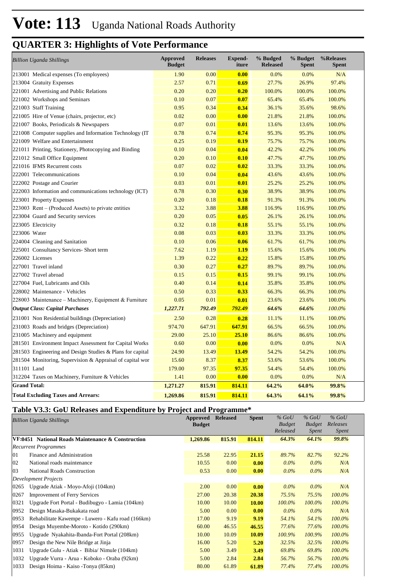| <b>Billion Uganda Shillings</b>                           | <b>Approved</b><br><b>Budget</b> | <b>Releases</b> | <b>Expend-</b><br>iture | % Budged<br><b>Released</b> | % Budget<br><b>Spent</b> | %Releases<br><b>Spent</b> |
|-----------------------------------------------------------|----------------------------------|-----------------|-------------------------|-----------------------------|--------------------------|---------------------------|
| 213001 Medical expenses (To employees)                    | 1.90                             | 0.00            | 0.00                    | 0.0%                        | 0.0%                     | N/A                       |
| 213004 Gratuity Expenses                                  | 2.57                             | 0.71            | 0.69                    | 27.7%                       | 26.9%                    | 97.4%                     |
| 221001 Advertising and Public Relations                   | 0.20                             | 0.20            | 0.20                    | 100.0%                      | 100.0%                   | 100.0%                    |
| 221002 Workshops and Seminars                             | 0.10                             | 0.07            | 0.07                    | 65.4%                       | 65.4%                    | 100.0%                    |
| 221003 Staff Training                                     | 0.95                             | 0.34            | 0.34                    | 36.1%                       | 35.6%                    | 98.6%                     |
| 221005 Hire of Venue (chairs, projector, etc)             | 0.02                             | 0.00            | 0.00                    | 21.8%                       | 21.8%                    | 100.0%                    |
| 221007 Books, Periodicals & Newspapers                    | 0.07                             | 0.01            | 0.01                    | 13.6%                       | 13.6%                    | 100.0%                    |
| 221008 Computer supplies and Information Technology (IT   | 0.78                             | 0.74            | 0.74                    | 95.3%                       | 95.3%                    | 100.0%                    |
| 221009 Welfare and Entertainment                          | 0.25                             | 0.19            | 0.19                    | 75.7%                       | 75.7%                    | 100.0%                    |
| 221011 Printing, Stationery, Photocopying and Binding     | 0.10                             | 0.04            | 0.04                    | 42.2%                       | 42.2%                    | 100.0%                    |
| 221012 Small Office Equipment                             | 0.20                             | 0.10            | 0.10                    | 47.7%                       | 47.7%                    | 100.0%                    |
| 221016 IFMS Recurrent costs                               | 0.07                             | 0.02            | 0.02                    | 33.3%                       | 33.3%                    | 100.0%                    |
| 222001 Telecommunications                                 | 0.10                             | 0.04            | 0.04                    | 43.6%                       | 43.6%                    | 100.0%                    |
| 222002 Postage and Courier                                | 0.03                             | 0.01            | 0.01                    | 25.2%                       | 25.2%                    | 100.0%                    |
| 222003 Information and communications technology (ICT)    | 0.78                             | 0.30            | 0.30                    | 38.9%                       | 38.9%                    | 100.0%                    |
| 223001 Property Expenses                                  | 0.20                             | 0.18            | 0.18                    | 91.3%                       | 91.3%                    | 100.0%                    |
| $223003$ Rent – (Produced Assets) to private entities     | 3.32                             | 3.88            | 3.88                    | 116.9%                      | 116.9%                   | 100.0%                    |
| 223004 Guard and Security services                        | 0.20                             | 0.05            | 0.05                    | 26.1%                       | 26.1%                    | 100.0%                    |
| 223005 Electricity                                        | 0.32                             | 0.18            | 0.18                    | 55.1%                       | 55.1%                    | 100.0%                    |
| 223006 Water                                              | 0.08                             | 0.03            | 0.03                    | 33.3%                       | 33.3%                    | 100.0%                    |
| 224004 Cleaning and Sanitation                            | 0.10                             | 0.06            | 0.06                    | 61.7%                       | 61.7%                    | 100.0%                    |
| 225001 Consultancy Services- Short term                   | 7.62                             | 1.19            | 1.19                    | 15.6%                       | 15.6%                    | 100.0%                    |
| 226002 Licenses                                           | 1.39                             | 0.22            | 0.22                    | 15.8%                       | 15.8%                    | 100.0%                    |
| 227001 Travel inland                                      | 0.30                             | 0.27            | 0.27                    | 89.7%                       | 89.7%                    | 100.0%                    |
| 227002 Travel abroad                                      | 0.15                             | 0.15            | 0.15                    | 99.1%                       | 99.1%                    | 100.0%                    |
| 227004 Fuel, Lubricants and Oils                          | 0.40                             | 0.14            | 0.14                    | 35.8%                       | 35.8%                    | 100.0%                    |
| 228002 Maintenance - Vehicles                             | 0.50                             | 0.33            | 0.33                    | 66.3%                       | 66.3%                    | 100.0%                    |
| 228003 Maintenance – Machinery, Equipment & Furniture     | 0.05                             | 0.01            | 0.01                    | 23.6%                       | 23.6%                    | 100.0%                    |
| <b>Output Class: Capital Purchases</b>                    | 1,227.71                         | 792.49          | 792.49                  | 64.6%                       | 64.6%                    | 100.0%                    |
| 231001 Non Residential buildings (Depreciation)           | 2.50                             | 0.28            | 0.28                    | 11.1%                       | 11.1%                    | 100.0%                    |
| 231003 Roads and bridges (Depreciation)                   | 974.70                           | 647.91          | 647.91                  | 66.5%                       | 66.5%                    | 100.0%                    |
| 231005 Machinery and equipment                            | 29.00                            | 25.10           | 25.10                   | 86.6%                       | 86.6%                    | 100.0%                    |
| 281501 Environment Impact Assessment for Capital Works    | 0.60                             | 0.00            | 0.00                    | 0.0%                        | 0.0%                     | N/A                       |
| 281503 Engineering and Design Studies & Plans for capital | 24.90                            | 13.49           | 13.49                   | 54.2%                       | 54.2%                    | 100.0%                    |
| 281504 Monitoring, Supervision & Appraisal of capital wor | 15.60                            | 8.37            | 8.37                    | 53.6%                       | 53.6%                    | 100.0%                    |
| 311101 Land                                               | 179.00                           | 97.35           | 97.35                   | 54.4%                       | 54.4%                    | 100.0%                    |
| 312204 Taxes on Machinery, Furniture & Vehicles           | 1.41                             | 0.00            | 0.00                    | 0.0%                        | 0.0%                     | N/A                       |
| <b>Grand Total:</b>                                       | 1,271.27                         | 815.91          | 814.11                  | 64.2%                       | 64.0%                    | 99.8%                     |
| <b>Total Excluding Taxes and Arrears:</b>                 | 1,269.86                         | 815.91          | 814.11                  | 64.3%                       | 64.1%                    | 99.8%                     |

## **Table V3.3: GoU Releases and Expenditure by Project and Programme\***

| <b>Billion Uganda Shillings</b> |                                                   | <b>Approved</b><br><b>Budget</b> | <b>Released</b> | <b>Spent</b> | $%$ GoU<br><b>Budget</b><br>Released | $%$ GoU<br><b>Budget</b><br><i>Spent</i> | $%$ GoU<br>Releases<br><i>Spent</i> |
|---------------------------------|---------------------------------------------------|----------------------------------|-----------------|--------------|--------------------------------------|------------------------------------------|-------------------------------------|
|                                 | VF:0451 National Roads Maintenance & Construction | 1,269.86                         | 815.91          | 814.11       | 64.3%                                | 64.1%                                    | 99.8%                               |
|                                 | <b>Recurrent Programmes</b>                       |                                  |                 |              |                                      |                                          |                                     |
| 01                              | Finance and Administration                        | 25.58                            | 22.95           | 21.15        | 89.7%                                | 82.7%                                    | 92.2%                               |
| 02                              | National roads maintenance                        | 10.55                            | 0.00            | 0.00         | $0.0\%$                              | $0.0\%$                                  | N/A                                 |
| 03                              | <b>National Roads Construction</b>                | 0.53                             | 0.00            | 0.00         | $0.0\%$                              | $0.0\%$                                  | N/A                                 |
|                                 | <b>Development Projects</b>                       |                                  |                 |              |                                      |                                          |                                     |
| 0265                            | Upgrade Atiak - Moyo-Afoji (104km)                | 2.00                             | 0.00            | 0.00         | $0.0\%$                              | $0.0\%$                                  | N/A                                 |
| 0267                            | <b>Improvement of Ferry Services</b>              | 27.00                            | 20.38           | 20.38        | 75.5%                                | 75.5%                                    | 100.0%                              |
| 0321                            | Upgrade Fort Portal - Budibugyo - Lamia (104km)   | 10.00                            | 10.00           | 10.00        | $100.0\%$                            | 100.0%                                   | 100.0%                              |
| 0952                            | Design Masaka-Bukakata road                       | 5.00                             | 0.00            | 0.00         | $0.0\%$                              | $0.0\%$                                  | N/A                                 |
| 0953                            | Rehabilitate Kawempe - Luwero - Kafu road (166km) | 17.00                            | 9.19            | 9.19         | 54.1%                                | 54.1%                                    | 100.0%                              |
| 0954                            | Design Muyembe-Moroto - Kotido (290km)            | 60.00                            | 46.55           | 46.55        | 77.6%                                | 77.6%                                    | 100.0%                              |
| 0955                            | Upgrade Nyakahita-Ibanda-Fort Portal (208km)      | 10.00                            | 10.09           | 10.09        | 100.9%                               | 100.9%                                   | 100.0%                              |
| 0957                            | Design the New Nile Bridge at Jinja               | 16.00                            | 5.20            | 5.20         | 32.5%                                | 32.5%                                    | 100.0%                              |
| 1031                            | Upgrade Gulu - Atiak - Bibia/ Nimule (104km)      | 5.00                             | 3.49            | 3.49         | 69.8%                                | 69.8%                                    | 100.0%                              |
| 1032                            | Upgrade Vurra - Arua - Koboko - Oraba (92km)      | 5.00                             | 2.84            | 2.84         | 56.7%                                | 56.7%                                    | 100.0%                              |
| 1033                            | Design Hoima - Kaiso - Tonya (85km)               | 80.00                            | 61.89           | 61.89        | 77.4%                                | 77.4%                                    | 100.0%                              |